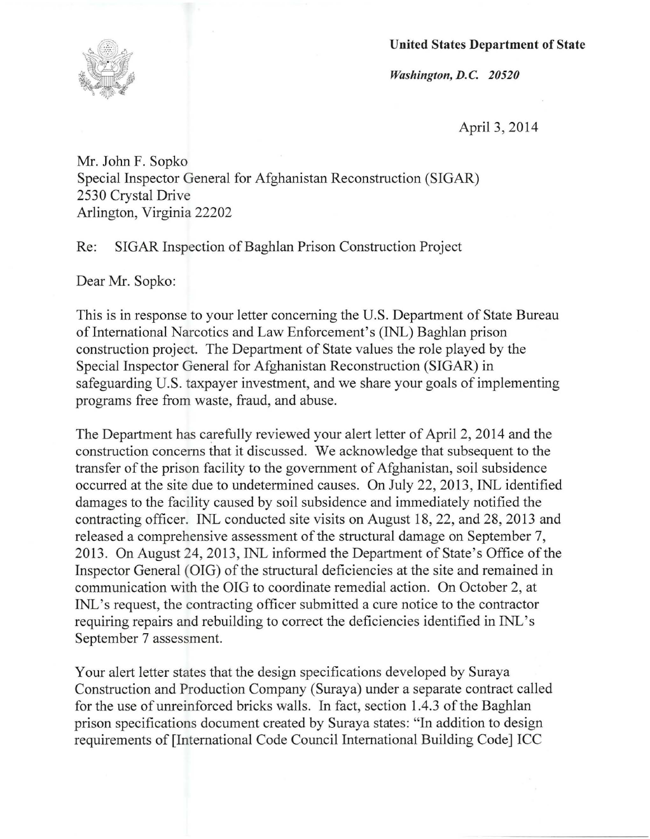**United States Department of State** 



*Washington, D.C. 20520* 

April 3, 2014

Mr. John F. Sopko Special Inspector General for Afghanistan Reconstruction (SIGAR) 2530 Crystal Drive Arlington, Virginia 22202

Re: SIGAR Inspection of Baghlan Prison Construction Project

Dear Mr. Sopko:

This is in response to your letter concerning the U.S. Department of State Bureau of International Narcotics and Law Enforcement's (INL) Baghlan prison construction project. The Department of State values the role played by the Special Inspector General for Afghanistan Reconstruction (SIGAR) in safeguarding U.S. taxpayer investment, and we share your goals of implementing programs free from waste, fraud, and abuse.

The Department has carefully reviewed your alert letter of April 2, 2014 and the construction concerns that it discussed. We acknowledge that subsequent to the transfer of the prison facility to the government of Afghanistan, soil subsidence occurred at the site due to undetermined causes. On July 22, 2013, INL identified damages to the facility caused by soil subsidence and immediately notified the contracting officer. INL conducted site visits on August 18,22, and 28, 2013 and released a comprehensive assessment of the structural damage on September 7, 2013. On August 24, 2013, INL informed the Department of State's Office of the Inspector General (OIG) of the structural deficiencies at the site and remained in communication with the OIG to coordinate remedial action. On October 2, at INL's request, the contracting officer submitted a cure notice to the contractor requiring repairs and rebuilding to correct the deficiencies identified in INL's September 7 assessment.

Your alert letter states that the design specifications developed by Suraya Construction and Production Company (Suraya) under a separate contract called for the use of unreinforced bricks walls. In fact, section 1.4.3 of the Baghlan prison specifications document created by Suraya states: "In addition to design requirements of [International Code Council International Building Code] ICC